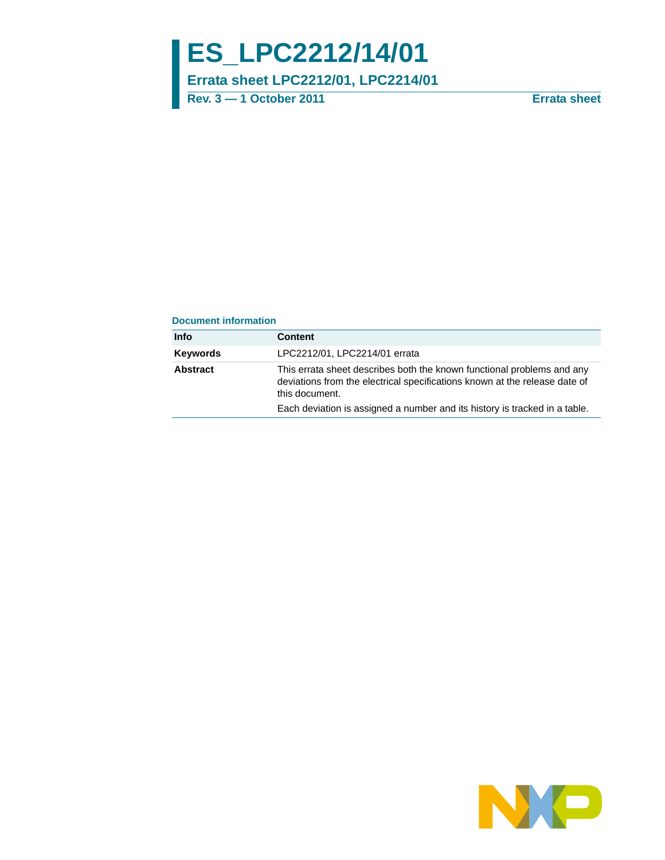# **ES\_LPC2212/14/01**

**Errata sheet LPC2212/01, LPC2214/01**

**Rev. 3 — 1 October 2011 Errata sheet**

#### **Document information**

| Info     | <b>Content</b>                                                                                                                                                         |
|----------|------------------------------------------------------------------------------------------------------------------------------------------------------------------------|
| Keywords | LPC2212/01, LPC2214/01 errata                                                                                                                                          |
| Abstract | This errata sheet describes both the known functional problems and any<br>deviations from the electrical specifications known at the release date of<br>this document. |
|          | Each deviation is assigned a number and its history is tracked in a table.                                                                                             |

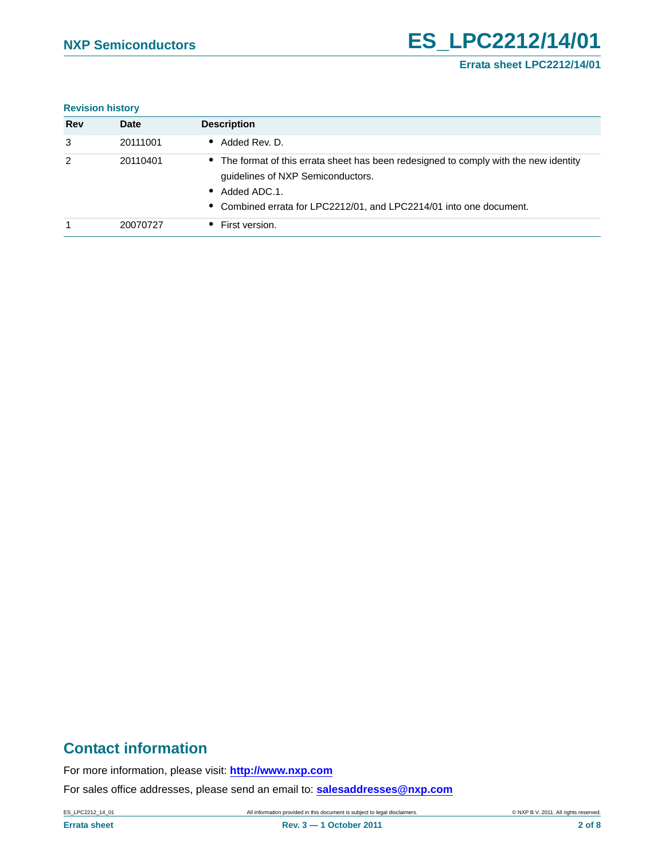#### **Errata sheet LPC2212/14/01**

#### **Revision history**

| <b>Rev</b> | <b>Date</b> | <b>Description</b>                                                                                                                                                                                                          |
|------------|-------------|-----------------------------------------------------------------------------------------------------------------------------------------------------------------------------------------------------------------------------|
| 3          | 20111001    | $\bullet$ Added Rev. D.                                                                                                                                                                                                     |
| 2          | 20110401    | • The format of this errata sheet has been redesigned to comply with the new identity<br>guidelines of NXP Semiconductors.<br>$\bullet$ Added ADC.1.<br>• Combined errata for LPC2212/01, and LPC2214/01 into one document. |
|            | 20070727    | • First version.                                                                                                                                                                                                            |

### **Contact information**

For more information, please visit: **http://www.nxp.com**

For sales office addresses, please send an email to: **salesaddresses@nxp.com**

ES\_LPC2212\_14\_01 **All information provided in this document is subject to legal disclaimers.** © NXP B.V. 2011. All rights reserved.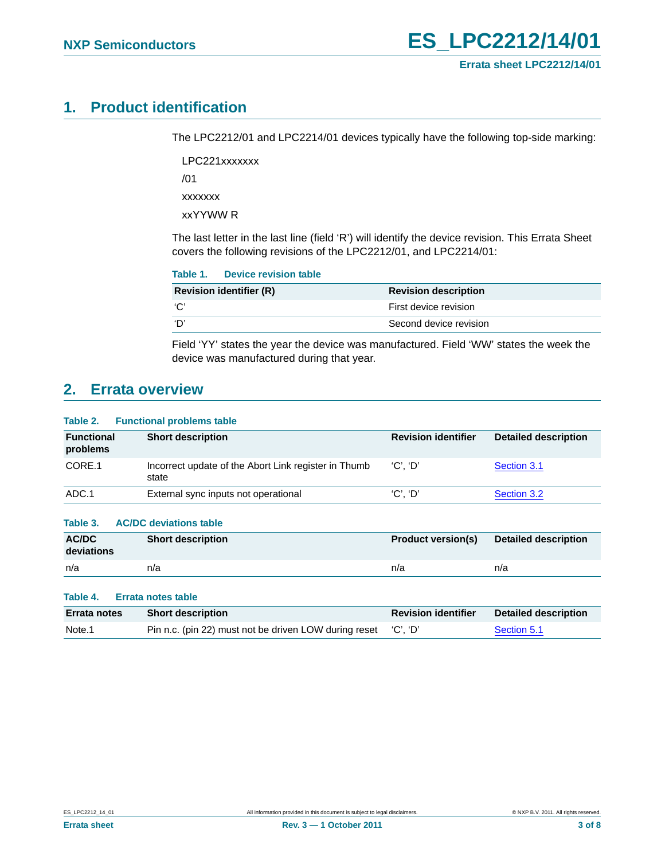### <span id="page-2-0"></span>**1. Product identification**

The LPC2212/01 and LPC2214/01 devices typically have the following top-side marking:

LPC221xxxxxxx /01 xxxxxxx

xxYYWW R

The last letter in the last line (field 'R') will identify the device revision. This Errata Sheet covers the following revisions of the LPC2212/01, and LPC2214/01:

|                                | Table 1. Device revision table |                             |
|--------------------------------|--------------------------------|-----------------------------|
| <b>Revision identifier (R)</b> |                                | <b>Revision description</b> |
| ʻC'                            |                                | First device revision       |
| 'D                             |                                | Second device revision      |

Field 'YY' states the year the device was manufactured. Field 'WW' states the week the device was manufactured during that year.

### <span id="page-2-1"></span>**2. Errata overview**

| Table 2.<br><b>Functional problems table</b> |                                                               |                            |                             |  |
|----------------------------------------------|---------------------------------------------------------------|----------------------------|-----------------------------|--|
| <b>Functional</b><br>problems                | <b>Short description</b>                                      | <b>Revision identifier</b> | <b>Detailed description</b> |  |
| CORE.1                                       | Incorrect update of the Abort Link register in Thumb<br>state | 'C', 'D'                   | Section 3.1                 |  |
| ADC.1                                        | External sync inputs not operational                          | 'C', 'D'                   | Section 3.2                 |  |
| Table 3.<br>AC/DC<br>deviations              | <b>AC/DC</b> deviations table<br><b>Short description</b>     | <b>Product version(s)</b>  | <b>Detailed description</b> |  |
| n/a                                          | n/a                                                           | n/a                        | n/a                         |  |
| Table 4.                                     | Errata notes table                                            |                            |                             |  |
| Errata notes                                 | <b>Short description</b>                                      | <b>Revision identifier</b> | <b>Detailed description</b> |  |
| Note.1                                       | Pin n.c. (pin 22) must not be driven LOW during reset         | 'C', 'D'                   | Section 5.1                 |  |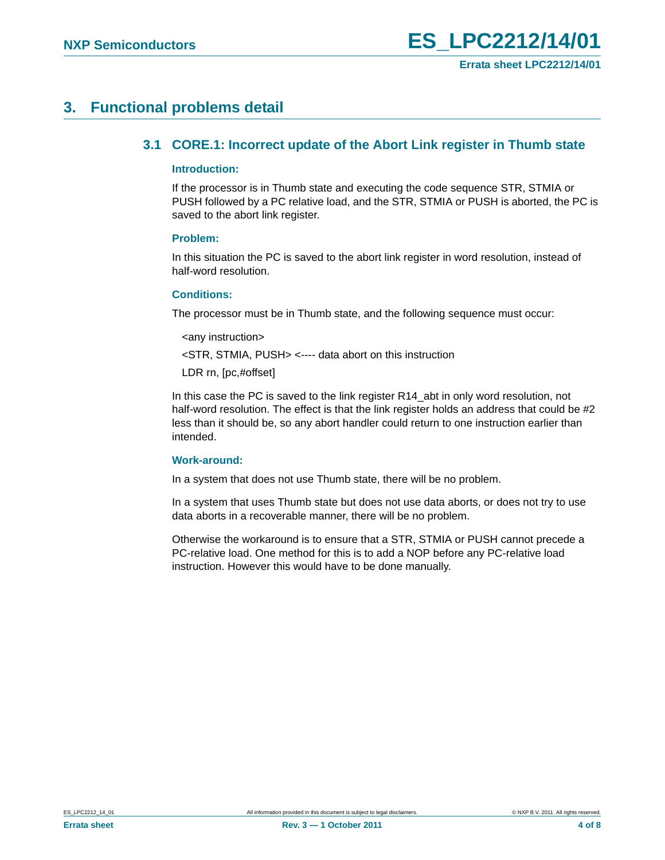### <span id="page-3-1"></span><span id="page-3-0"></span>**3. Functional problems detail**

#### **3.1 CORE.1: Incorrect update of the Abort Link register in Thumb state**

#### <span id="page-3-2"></span>**Introduction:**

If the processor is in Thumb state and executing the code sequence STR, STMIA or PUSH followed by a PC relative load, and the STR, STMIA or PUSH is aborted, the PC is saved to the abort link register.

#### <span id="page-3-3"></span>**Problem:**

In this situation the PC is saved to the abort link register in word resolution, instead of half-word resolution.

#### <span id="page-3-4"></span>**Conditions:**

The processor must be in Thumb state, and the following sequence must occur:

<any instruction>

<STR, STMIA, PUSH> <---- data abort on this instruction

LDR rn, [pc,#offset]

In this case the PC is saved to the link register R14\_abt in only word resolution, not half-word resolution. The effect is that the link register holds an address that could be #2 less than it should be, so any abort handler could return to one instruction earlier than intended.

#### <span id="page-3-5"></span>**Work-around:**

In a system that does not use Thumb state, there will be no problem.

In a system that uses Thumb state but does not use data aborts, or does not try to use data aborts in a recoverable manner, there will be no problem.

Otherwise the workaround is to ensure that a STR, STMIA or PUSH cannot precede a PC-relative load. One method for this is to add a NOP before any PC-relative load instruction. However this would have to be done manually.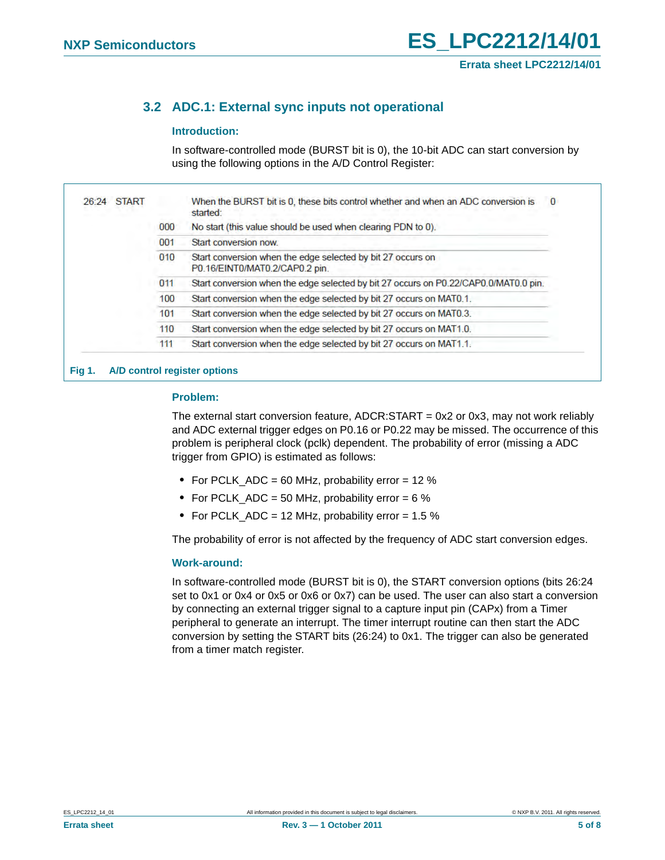### <span id="page-4-0"></span>**3.2 ADC.1: External sync inputs not operational**

#### <span id="page-4-1"></span>**Introduction:**

In software-controlled mode (BURST bit is 0), the 10-bit ADC can start conversion by using the following options in the A/D Control Register:

| <b>START</b><br>26:24 |     | When the BURST bit is 0, these bits control whether and when an ADC conversion is<br>0<br>started: |
|-----------------------|-----|----------------------------------------------------------------------------------------------------|
|                       | 000 | No start (this value should be used when clearing PDN to 0).                                       |
|                       | 001 | Start conversion now.                                                                              |
|                       | 010 | Start conversion when the edge selected by bit 27 occurs on<br>P0.16/EINT0/MAT0.2/CAP0.2 pin.      |
|                       | 011 | Start conversion when the edge selected by bit 27 occurs on P0.22/CAP0.0/MAT0.0 pin.               |
|                       | 100 | Start conversion when the edge selected by bit 27 occurs on MAT0.1.                                |
|                       | 101 | Start conversion when the edge selected by bit 27 occurs on MAT0.3.                                |
|                       | 110 | Start conversion when the edge selected by bit 27 occurs on MAT1.0.                                |
|                       | 111 | Start conversion when the edge selected by bit 27 occurs on MAT1.1.                                |

**Fig 1. A/D control register options**

#### <span id="page-4-2"></span>**Problem:**

The external start conversion feature,  $ADCR:START = 0x2$  or 0x3, may not work reliably and ADC external trigger edges on P0.16 or P0.22 may be missed. The occurrence of this problem is peripheral clock (pclk) dependent. The probability of error (missing a ADC trigger from GPIO) is estimated as follows:

- **•** For PCLK\_ADC = 60 MHz, probability error = 12 %
- For PCLK ADC = 50 MHz, probability error = 6 %
- **•** For PCLK\_ADC = 12 MHz, probability error = 1.5 %

The probability of error is not affected by the frequency of ADC start conversion edges.

#### <span id="page-4-3"></span>**Work-around:**

In software-controlled mode (BURST bit is 0), the START conversion options (bits 26:24 set to 0x1 or 0x4 or 0x5 or 0x6 or 0x7) can be used. The user can also start a conversion by connecting an external trigger signal to a capture input pin (CAPx) from a Timer peripheral to generate an interrupt. The timer interrupt routine can then start the ADC conversion by setting the START bits (26:24) to 0x1. The trigger can also be generated from a timer match register.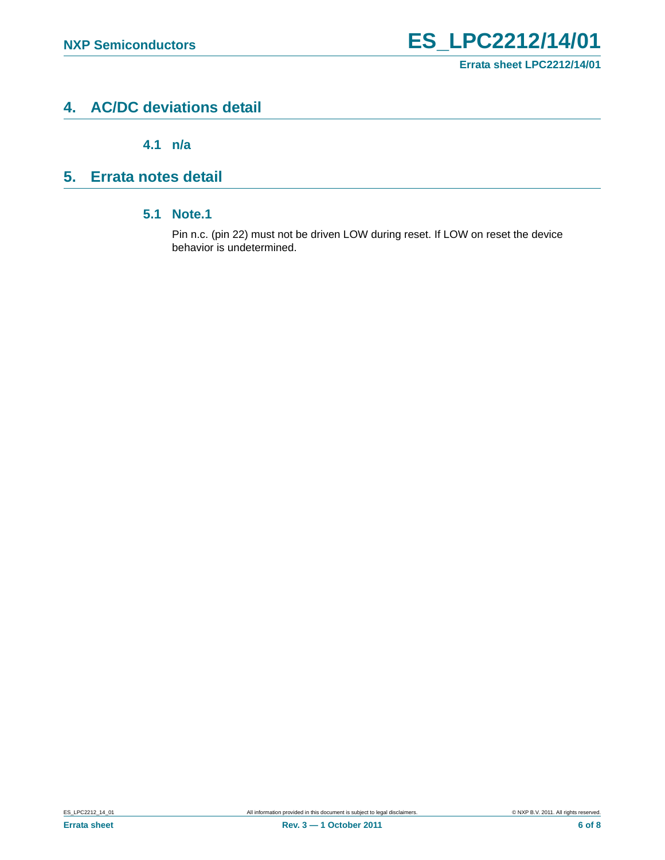### <span id="page-5-1"></span>**4. AC/DC deviations detail**

**4.1 n/a**

## <span id="page-5-3"></span><span id="page-5-2"></span><span id="page-5-0"></span>**5. Errata notes detail**

#### **5.1 Note.1**

Pin n.c. (pin 22) must not be driven LOW during reset. If LOW on reset the device behavior is undetermined.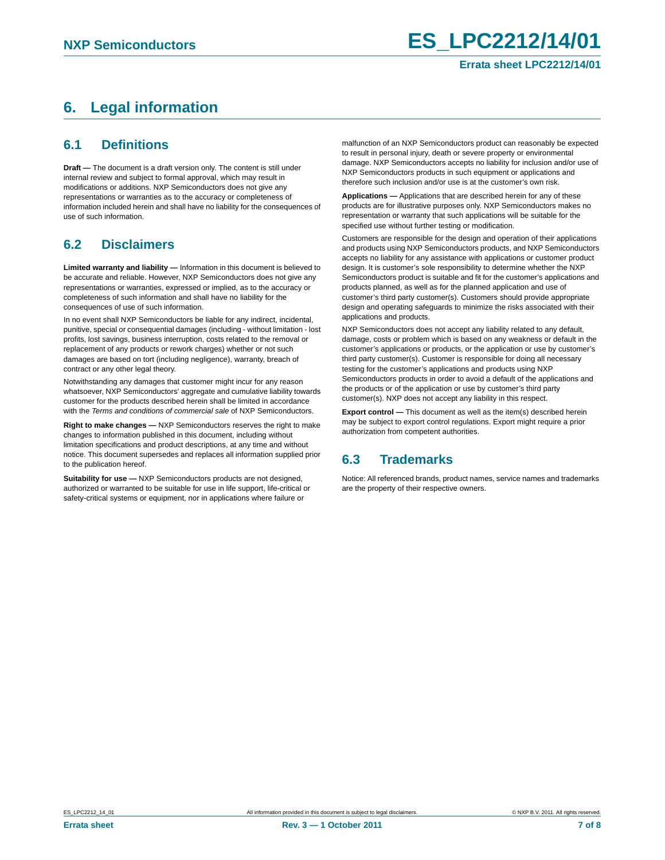## <span id="page-6-0"></span>**6. Legal information**

#### <span id="page-6-1"></span>**6.1 Definitions**

**Draft —** The document is a draft version only. The content is still under internal review and subject to formal approval, which may result in modifications or additions. NXP Semiconductors does not give any representations or warranties as to the accuracy or completeness of information included herein and shall have no liability for the consequences of use of such information.

### <span id="page-6-2"></span>**6.2 Disclaimers**

**Limited warranty and liability —** Information in this document is believed to be accurate and reliable. However, NXP Semiconductors does not give any representations or warranties, expressed or implied, as to the accuracy or completeness of such information and shall have no liability for the consequences of use of such information.

In no event shall NXP Semiconductors be liable for any indirect, incidental, punitive, special or consequential damages (including - without limitation - lost profits, lost savings, business interruption, costs related to the removal or replacement of any products or rework charges) whether or not such damages are based on tort (including negligence), warranty, breach of contract or any other legal theory.

Notwithstanding any damages that customer might incur for any reason whatsoever, NXP Semiconductors' aggregate and cumulative liability towards customer for the products described herein shall be limited in accordance with the *Terms and conditions of commercial sale* of NXP Semiconductors.

**Right to make changes —** NXP Semiconductors reserves the right to make changes to information published in this document, including without limitation specifications and product descriptions, at any time and without notice. This document supersedes and replaces all information supplied prior to the publication hereof.

**Suitability for use —** NXP Semiconductors products are not designed, authorized or warranted to be suitable for use in life support, life-critical or safety-critical systems or equipment, nor in applications where failure or

malfunction of an NXP Semiconductors product can reasonably be expected to result in personal injury, death or severe property or environmental damage. NXP Semiconductors accepts no liability for inclusion and/or use of NXP Semiconductors products in such equipment or applications and therefore such inclusion and/or use is at the customer's own risk.

**Applications —** Applications that are described herein for any of these products are for illustrative purposes only. NXP Semiconductors makes no representation or warranty that such applications will be suitable for the specified use without further testing or modification.

Customers are responsible for the design and operation of their applications and products using NXP Semiconductors products, and NXP Semiconductors accepts no liability for any assistance with applications or customer product design. It is customer's sole responsibility to determine whether the NXP Semiconductors product is suitable and fit for the customer's applications and products planned, as well as for the planned application and use of customer's third party customer(s). Customers should provide appropriate design and operating safeguards to minimize the risks associated with their applications and products.

NXP Semiconductors does not accept any liability related to any default, damage, costs or problem which is based on any weakness or default in the customer's applications or products, or the application or use by customer's third party customer(s). Customer is responsible for doing all necessary testing for the customer's applications and products using NXP Semiconductors products in order to avoid a default of the applications and the products or of the application or use by customer's third party customer(s). NXP does not accept any liability in this respect.

**Export control —** This document as well as the item(s) described herein may be subject to export control regulations. Export might require a prior authorization from competent authorities.

### <span id="page-6-3"></span>**6.3 Trademarks**

Notice: All referenced brands, product names, service names and trademarks are the property of their respective owners.